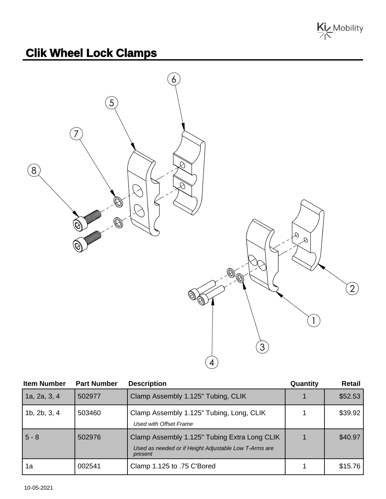

## **Clik Wheel Lock Clamps**



| <b>Item Number</b> | <b>Part Number</b> | <b>Description</b>                                                                                               | Quantity | <b>Retail</b> |
|--------------------|--------------------|------------------------------------------------------------------------------------------------------------------|----------|---------------|
| 1a, 2a, 3, 4       | 502977             | Clamp Assembly 1.125" Tubing, CLIK                                                                               |          | \$52.53       |
| 1b, 2b, 3, 4       | 503460             | Clamp Assembly 1.125" Tubing, Long, CLIK<br>Used with Offset Frame                                               |          | \$39.92       |
| $5 - 8$            | 502976             | Clamp Assembly 1.125" Tubing Extra Long CLIK<br>Used as needed or if Height Adjustable Low T-Arms are<br>present |          | \$40.97       |
| 1a                 | 002541             | Clamp 1.125 to .75 C'Bored                                                                                       |          | \$15.76       |